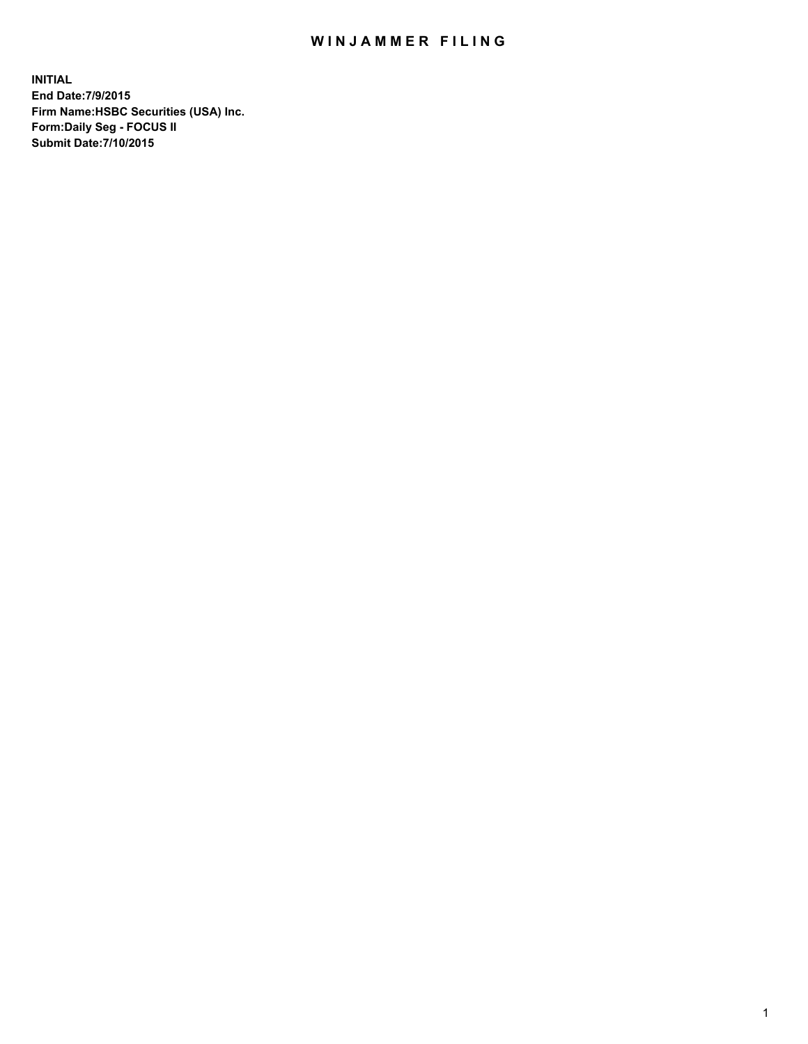## WIN JAMMER FILING

**INITIAL End Date:7/9/2015 Firm Name:HSBC Securities (USA) Inc. Form:Daily Seg - FOCUS II Submit Date:7/10/2015**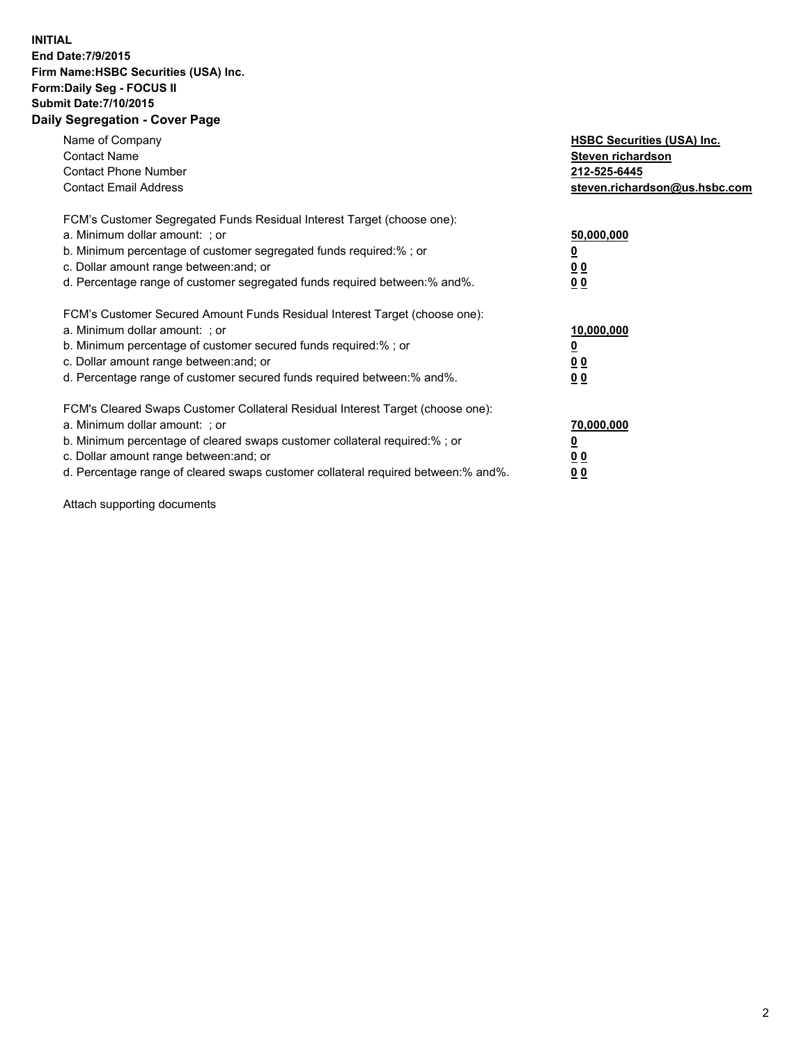## **INITIAL End Date:7/9/2015 Firm Name:HSBC Securities (USA) Inc. Form:Daily Seg - FOCUS II Submit Date:7/10/2015 Daily Segregation - Cover Page**

| Name of Company<br><b>Contact Name</b><br><b>Contact Phone Number</b><br><b>Contact Email Address</b>                                                                                                                                                                                                                         | <b>HSBC Securities (USA) Inc.</b><br>Steven richardson<br>212-525-6445<br>steven.richardson@us.hsbc.com |
|-------------------------------------------------------------------------------------------------------------------------------------------------------------------------------------------------------------------------------------------------------------------------------------------------------------------------------|---------------------------------------------------------------------------------------------------------|
| FCM's Customer Segregated Funds Residual Interest Target (choose one):<br>a. Minimum dollar amount: ; or<br>b. Minimum percentage of customer segregated funds required:% ; or<br>c. Dollar amount range between: and; or<br>d. Percentage range of customer segregated funds required between: % and %.                      | 50,000,000<br>0 <sub>0</sub><br>00                                                                      |
| FCM's Customer Secured Amount Funds Residual Interest Target (choose one):<br>a. Minimum dollar amount: ; or<br>b. Minimum percentage of customer secured funds required:%; or<br>c. Dollar amount range between: and; or<br>d. Percentage range of customer secured funds required between: % and %.                         | 10,000,000<br>00<br>00                                                                                  |
| FCM's Cleared Swaps Customer Collateral Residual Interest Target (choose one):<br>a. Minimum dollar amount: ; or<br>b. Minimum percentage of cleared swaps customer collateral required:%; or<br>c. Dollar amount range between: and; or<br>d. Percentage range of cleared swaps customer collateral required between:% and%. | 70,000,000<br>0 <sub>0</sub><br>00                                                                      |

Attach supporting documents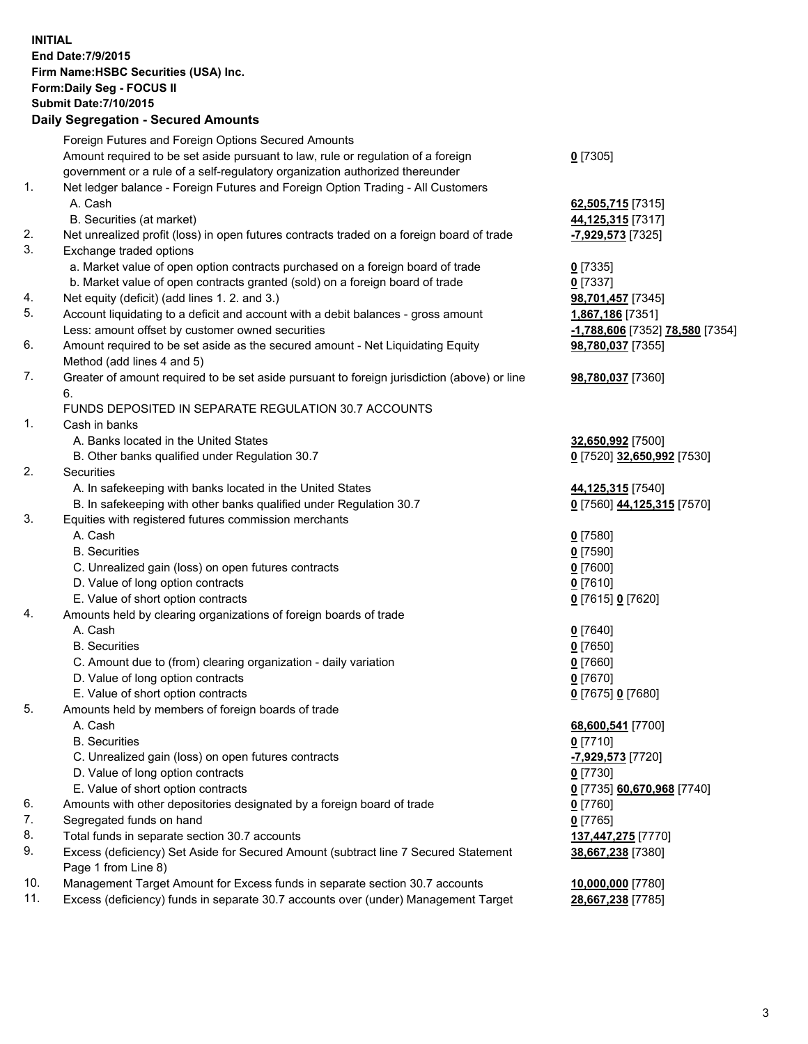**INITIAL End Date:7/9/2015 Firm Name:HSBC Securities (USA) Inc. Form:Daily Seg - FOCUS II Submit Date:7/10/2015 Daily Segregation - Secured Amounts**

Foreign Futures and Foreign Options Secured Amounts Amount required to be set aside pursuant to law, rule or regulation of a foreign government or a rule of a self-regulatory organization authorized thereunder **0** [7305] 1. Net ledger balance - Foreign Futures and Foreign Option Trading - All Customers A. Cash **62,505,715** [7315] B. Securities (at market) **44,125,315** [7317] 2. Net unrealized profit (loss) in open futures contracts traded on a foreign board of trade **-7,929,573** [7325] 3. Exchange traded options a. Market value of open option contracts purchased on a foreign board of trade **0** [7335] b. Market value of open contracts granted (sold) on a foreign board of trade **0** [7337] 4. Net equity (deficit) (add lines 1. 2. and 3.) **98,701,457** [7345] 5. Account liquidating to a deficit and account with a debit balances - gross amount **1,867,186** [7351] Less: amount offset by customer owned securities **-1,788,606** [7352] **78,580** [7354] 6. Amount required to be set aside as the secured amount - Net Liquidating Equity Method (add lines 4 and 5) **98,780,037** [7355] 7. Greater of amount required to be set aside pursuant to foreign jurisdiction (above) or line 6. **98,780,037** [7360] FUNDS DEPOSITED IN SEPARATE REGULATION 30.7 ACCOUNTS 1. Cash in banks A. Banks located in the United States **32,650,992** [7500] B. Other banks qualified under Regulation 30.7 **0** [7520] **32,650,992** [7530] 2. Securities A. In safekeeping with banks located in the United States **44,125,315** [7540] B. In safekeeping with other banks qualified under Regulation 30.7 **0** [7560] **44,125,315** [7570] 3. Equities with registered futures commission merchants A. Cash **0** [7580] B. Securities **0** [7590] C. Unrealized gain (loss) on open futures contracts **0** [7600] D. Value of long option contracts **0** [7610] E. Value of short option contracts **0** [7615] **0** [7620] 4. Amounts held by clearing organizations of foreign boards of trade A. Cash **0** [7640] B. Securities **0** [7650] C. Amount due to (from) clearing organization - daily variation **0** [7660] D. Value of long option contracts **0** [7670] E. Value of short option contracts **0** [7675] **0** [7680] 5. Amounts held by members of foreign boards of trade A. Cash **68,600,541** [7700] B. Securities **0** [7710] C. Unrealized gain (loss) on open futures contracts **-7,929,573** [7720] D. Value of long option contracts **0** [7730] E. Value of short option contracts **0** [7735] **60,670,968** [7740] 6. Amounts with other depositories designated by a foreign board of trade **0** [7760] 7. Segregated funds on hand **0** [7765] 8. Total funds in separate section 30.7 accounts **137,447,275** [7770] 9. Excess (deficiency) Set Aside for Secured Amount (subtract line 7 Secured Statement Page 1 from Line 8) **38,667,238** [7380] 10. Management Target Amount for Excess funds in separate section 30.7 accounts **10,000,000** [7780] 11. Excess (deficiency) funds in separate 30.7 accounts over (under) Management Target **28,667,238** [7785]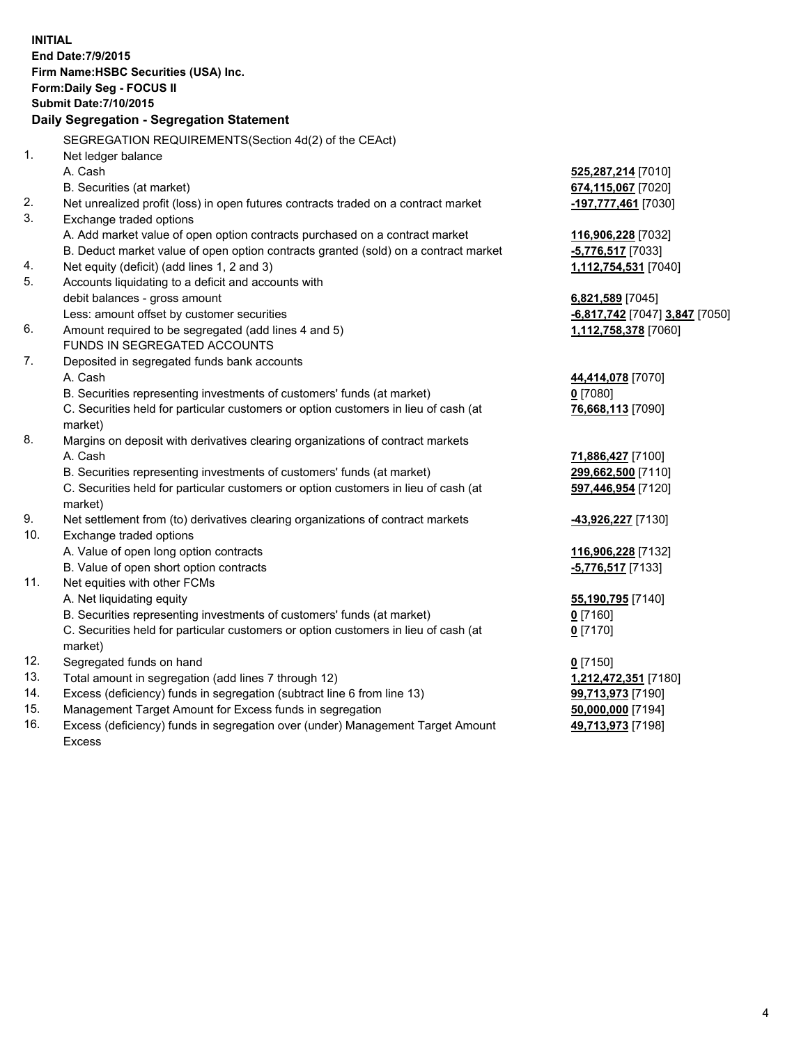| <b>INITIAL</b>                        |                                                                                                |                                |  |  |  |
|---------------------------------------|------------------------------------------------------------------------------------------------|--------------------------------|--|--|--|
| End Date: 7/9/2015                    |                                                                                                |                                |  |  |  |
| Firm Name: HSBC Securities (USA) Inc. |                                                                                                |                                |  |  |  |
| Form: Daily Seg - FOCUS II            |                                                                                                |                                |  |  |  |
| <b>Submit Date: 7/10/2015</b>         |                                                                                                |                                |  |  |  |
|                                       | Daily Segregation - Segregation Statement                                                      |                                |  |  |  |
|                                       | SEGREGATION REQUIREMENTS(Section 4d(2) of the CEAct)                                           |                                |  |  |  |
| 1.                                    | Net ledger balance                                                                             |                                |  |  |  |
|                                       | A. Cash                                                                                        | 525,287,214 [7010]             |  |  |  |
|                                       | B. Securities (at market)                                                                      | 674,115,067 [7020]             |  |  |  |
| 2.                                    | Net unrealized profit (loss) in open futures contracts traded on a contract market             | -197,777,461 [7030]            |  |  |  |
| 3.                                    | Exchange traded options                                                                        |                                |  |  |  |
|                                       | A. Add market value of open option contracts purchased on a contract market                    | 116,906,228 [7032]             |  |  |  |
|                                       | B. Deduct market value of open option contracts granted (sold) on a contract market            | -5,776,517 [7033]              |  |  |  |
| 4.                                    | Net equity (deficit) (add lines 1, 2 and 3)                                                    | 1,112,754,531 [7040]           |  |  |  |
| 5.                                    | Accounts liquidating to a deficit and accounts with                                            |                                |  |  |  |
|                                       | debit balances - gross amount                                                                  | 6,821,589 [7045]               |  |  |  |
|                                       | Less: amount offset by customer securities                                                     | -6,817,742 [7047] 3,847 [7050] |  |  |  |
| 6.                                    | Amount required to be segregated (add lines 4 and 5)                                           | 1,112,758,378 [7060]           |  |  |  |
|                                       | FUNDS IN SEGREGATED ACCOUNTS                                                                   |                                |  |  |  |
| 7.                                    | Deposited in segregated funds bank accounts                                                    |                                |  |  |  |
|                                       | A. Cash                                                                                        | 44,414,078 [7070]              |  |  |  |
|                                       | B. Securities representing investments of customers' funds (at market)                         | $0$ [7080]                     |  |  |  |
|                                       | C. Securities held for particular customers or option customers in lieu of cash (at            | 76,668,113 [7090]              |  |  |  |
|                                       | market)                                                                                        |                                |  |  |  |
| 8.                                    | Margins on deposit with derivatives clearing organizations of contract markets                 |                                |  |  |  |
|                                       | A. Cash                                                                                        | 71,886,427 [7100]              |  |  |  |
|                                       | B. Securities representing investments of customers' funds (at market)                         | 299,662,500 [7110]             |  |  |  |
|                                       | C. Securities held for particular customers or option customers in lieu of cash (at            | 597,446,954 [7120]             |  |  |  |
|                                       | market)                                                                                        |                                |  |  |  |
| 9.                                    | Net settlement from (to) derivatives clearing organizations of contract markets                | <u>-43,926,227</u> [7130]      |  |  |  |
| 10.                                   | Exchange traded options                                                                        |                                |  |  |  |
|                                       | A. Value of open long option contracts                                                         | 116,906,228 [7132]             |  |  |  |
|                                       | B. Value of open short option contracts                                                        | -5,776,517 [7133]              |  |  |  |
| 11.                                   | Net equities with other FCMs                                                                   |                                |  |  |  |
|                                       | A. Net liquidating equity                                                                      | 55,190,795 [7140]              |  |  |  |
|                                       | B. Securities representing investments of customers' funds (at market)                         | 0 [7160]                       |  |  |  |
|                                       | C. Securities held for particular customers or option customers in lieu of cash (at<br>market) | $0$ [7170]                     |  |  |  |
| 12.                                   | Segregated funds on hand                                                                       | $0$ [7150]                     |  |  |  |
| 13.                                   | Total amount in segregation (add lines 7 through 12)                                           | 1,212,472,351 [7180]           |  |  |  |
| 14.                                   | Excess (deficiency) funds in segregation (subtract line 6 from line 13)                        | 99,713,973 [7190]              |  |  |  |
| 15.                                   | Management Target Amount for Excess funds in segregation                                       | 50,000,000 [7194]              |  |  |  |
| 16.                                   | Excess (deficiency) funds in segregation over (under) Management Target Amount                 | 49,713,973 [7198]              |  |  |  |

16. Excess (deficiency) funds in segregation over (under) Management Target Amount Excess